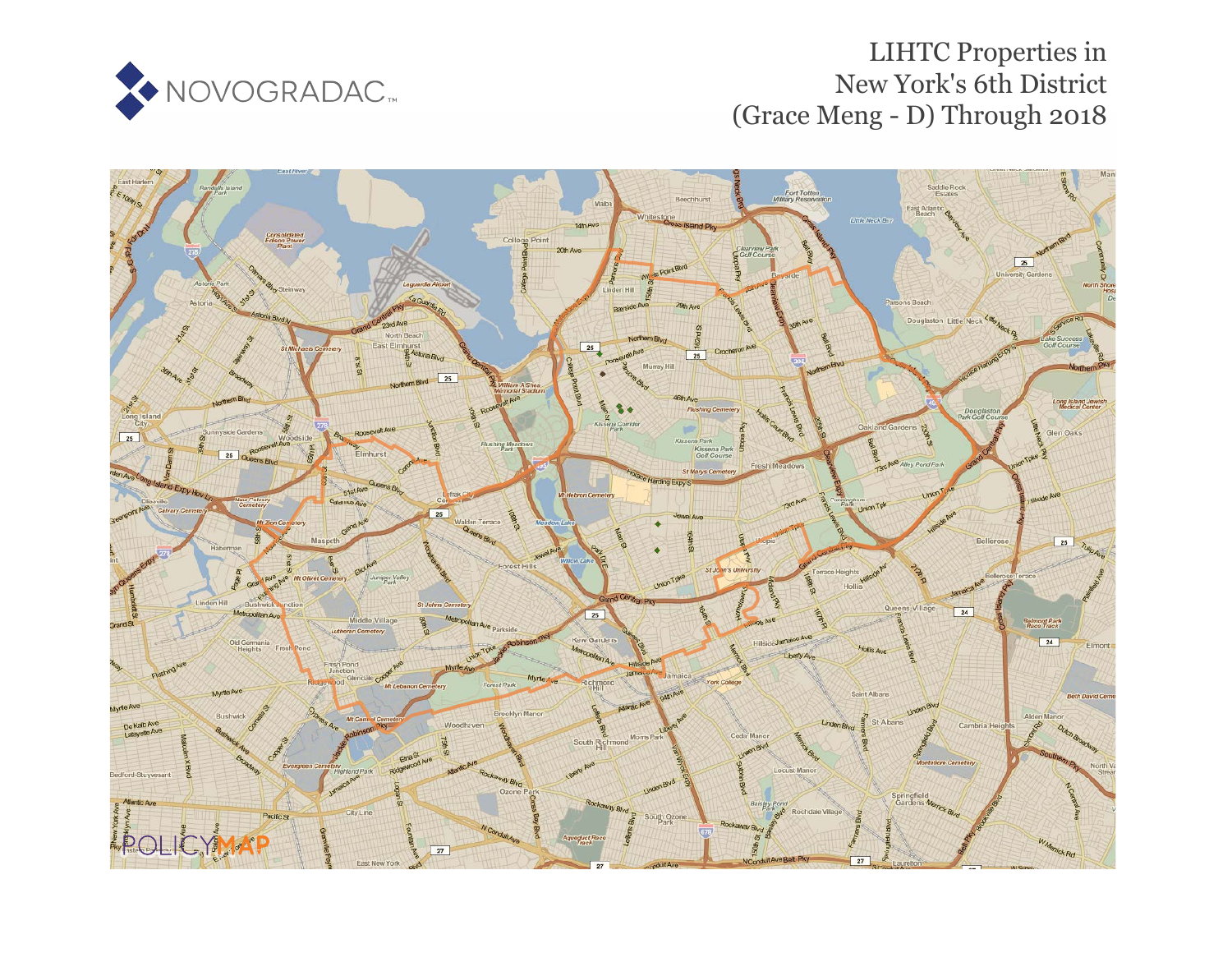

## LIHTC Properties in New York's 6th District (Grace Meng - D) Through 2018